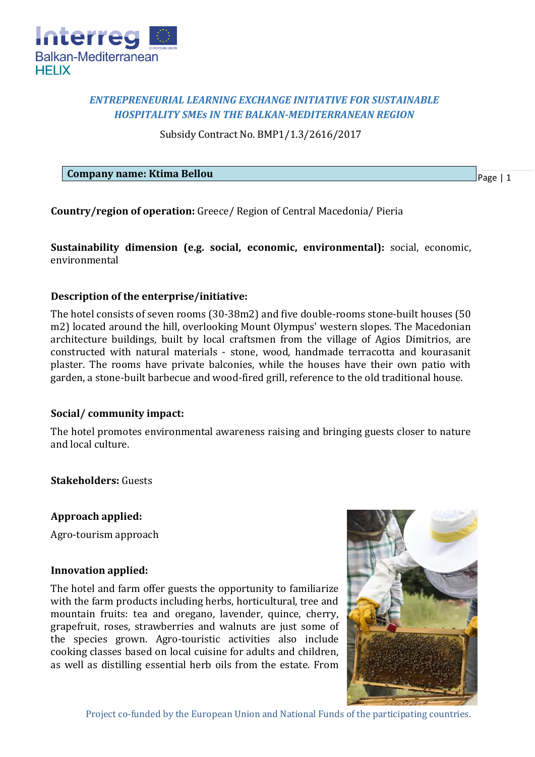

# *ENTREPRENEURIAL LEARNING EXCHANGE INITIATIVE FOR SUSTAINABLE HOSPITALITY SMEs IN THE BALKAN-MEDITERRANEAN REGION*

Subsidy Contract No. BMP1/1.3/2616/2017

**Company name: Ktima Bellou**

Page | 1

**Country/region of operation:** Greece/ Region of Central Macedonia/ Pieria

**Sustainability dimension (e.g. social, economic, environmental):** social, economic, environmental

## **Description of the enterprise/initiative:**

The hotel consists of seven rooms (30-38m2) and five double-rooms stone-built houses (50 m2) located around the hill, overlooking Mount Olympus' western slopes. The Macedonian architecture buildings, built by local craftsmen from the village of Agios Dimitrios, are constructed with natural materials - stone, wood, handmade terracotta and kourasanit plaster. The rooms have private balconies, while the houses have their own patio with garden, a stone-built barbecue and wood-fired grill, reference to the old traditional house.

## **Social/ community impact:**

The hotel promotes environmental awareness raising and bringing guests closer to nature and local culture.

**Stakeholders:** Guests

**Approach applied:**

Agro-tourism approach

## **Innovation applied:**

The hotel and farm offer guests the opportunity to familiarize with the farm products including herbs, horticultural, tree and mountain fruits: tea and oregano, lavender, quince, cherry, grapefruit, roses, strawberries and walnuts are just some of the species grown. Agro-touristic activities also include cooking classes based on local cuisine for adults and children, as well as distilling essential herb oils from the estate. From



Project co-funded by the European Union and National Funds of the participating countries.